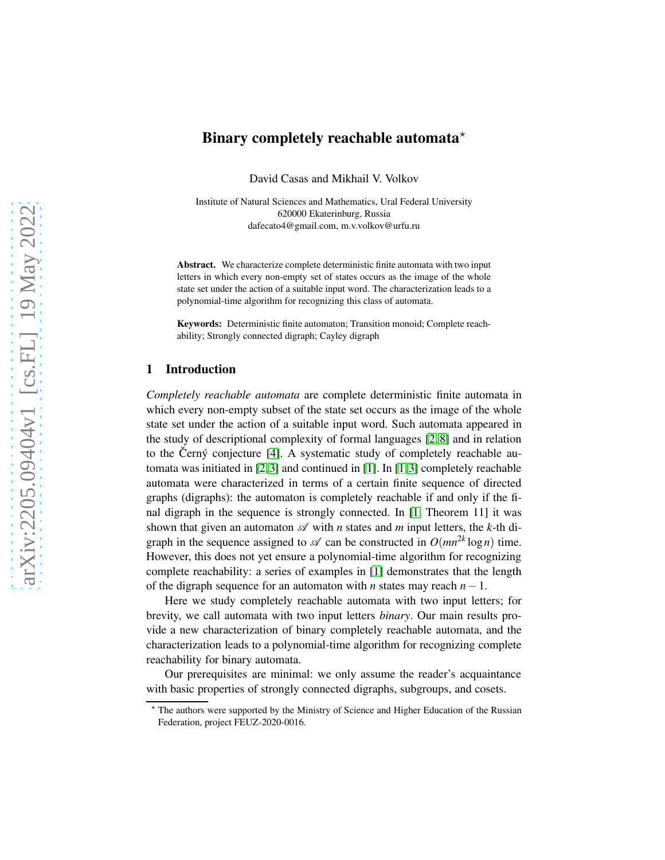# Binary completely reachable automata<sup> $\star$ </sup>

David Casas and Mikhail V. Volkov

Institute of Natural Sciences and Mathematics, Ural Federal University 620000 Ekaterinburg, Russia dafecato4@gmail.com, m.v.volkov@urfu.ru

Abstract. We characterize complete deterministic finite automata with two input letters in which every non-empty set of states occurs as the image of the whole state set under the action of a suitable input word. The characterization leads to a polynomial-time algorithm for recognizing this class of automata.

Keywords: Deterministic finite automaton; Transition monoid; Complete reachability; Strongly connected digraph; Cayley digraph

### 1 Introduction

*Completely reachable automata* are complete deterministic finite automata in which every non-empty subset of the state set occurs as the image of the whole state set under the action of a suitable input word. Such automata appeared in the study of descriptional complexity of formal languages [\[2,](#page-15-0) [8\]](#page-15-1) and in relation to the Černý conjecture  $[4]$ . A systematic study of completely reachable automata was initiated in [\[2,](#page-15-0)[3\]](#page-15-3) and continued in [\[1\]](#page-15-4). In [\[1,](#page-15-4)[3\]](#page-15-3) completely reachable automata were characterized in terms of a certain finite sequence of directed graphs (digraphs): the automaton is completely reachable if and only if the final digraph in the sequence is strongly connected. In [\[1,](#page-15-4) Theorem 11] it was shown that given an automaton  $\mathscr A$  with *n* states and *m* input letters, the *k*-th digraph in the sequence assigned to  $\mathscr A$  can be constructed in  $O(mn^{2k} \log n)$  time. However, this does not yet ensure a polynomial-time algorithm for recognizing complete reachability: a series of examples in [\[1\]](#page-15-4) demonstrates that the length of the digraph sequence for an automaton with *n* states may reach *n*−1.

Here we study completely reachable automata with two input letters; for brevity, we call automata with two input letters *binary*. Our main results provide a new characterization of binary completely reachable automata, and the characterization leads to a polynomial-time algorithm for recognizing complete reachability for binary automata.

Our prerequisites are minimal: we only assume the reader's acquaintance with basic properties of strongly connected digraphs, subgroups, and cosets.

<sup>⋆</sup> The authors were supported by the Ministry of Science and Higher Education of the Russian Federation, project FEUZ-2020-0016.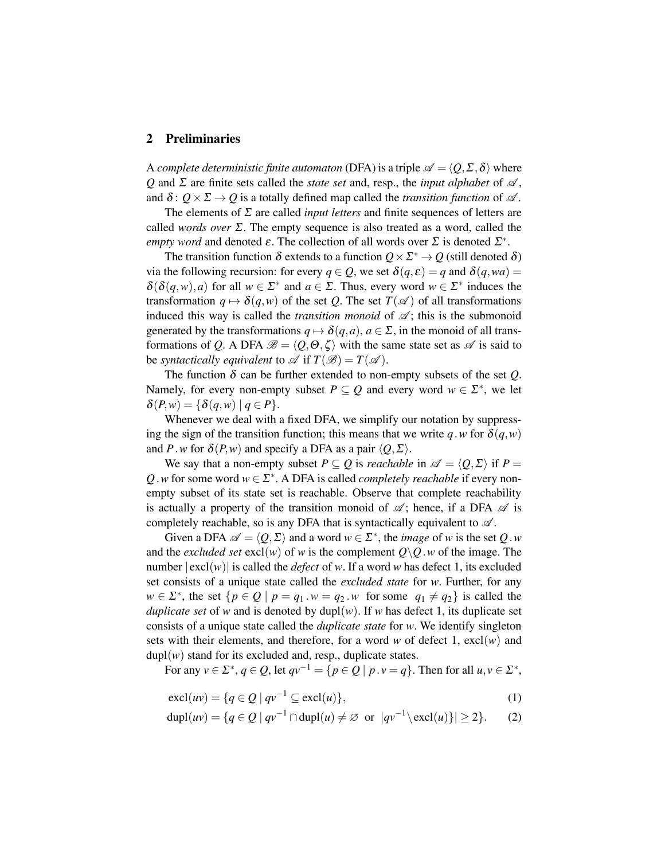## <span id="page-1-2"></span>2 Preliminaries

A *complete deterministic finite automaton* (DFA) is a triple  $\mathscr{A} = \langle O, \Sigma, \delta \rangle$  where *Q* and  $\Sigma$  are finite sets called the *state set* and, resp., the *input alphabet* of  $\mathscr A$ , and  $\delta: Q \times \Sigma \rightarrow Q$  is a totally defined map called the *transition function* of  $\mathscr A$ .

The elements of <sup>Σ</sup> are called *input letters* and finite sequences of letters are called *words over* <sup>Σ</sup>. The empty sequence is also treated as a word, called the *empty word* and denoted  $\varepsilon$ . The collection of all words over  $\Sigma$  is denoted  $\Sigma^*$ .

The transition function  $\delta$  extends to a function  $Q \times \Sigma^* \to Q$  (still denoted  $\delta$ ) via the following recursion: for every  $q \in Q$ , we set  $\delta(q, \varepsilon) = q$  and  $\delta(q, wa) =$  $\delta(\delta(q, w), a)$  for all  $w \in \Sigma^*$  and  $a \in \Sigma$ . Thus, every word  $w \in \Sigma^*$  induces the transformation  $q \mapsto \delta(q, w)$  of the set *Q*. The set  $T(\mathscr{A})$  of all transformations induced this way is called the *transition monoid* of  $\mathcal{A}$ ; this is the submonoid generated by the transformations  $q \mapsto \delta(q, a)$ ,  $a \in \Sigma$ , in the monoid of all transformations of *Q*. A DFA  $\mathscr{B} = \langle Q, \Theta, \zeta \rangle$  with the same state set as  $\mathscr{A}$  is said to be *syntactically equivalent* to  $\mathscr A$  if  $T(\mathscr B) = T(\mathscr A)$ .

The function  $\delta$  can be further extended to non-empty subsets of the set  $Q$ . Namely, for every non-empty subset  $P \subseteq Q$  and every word  $w \in \Sigma^*$ , we let  $\delta(P,w) = \{ \delta(q,w) \mid q \in P \}.$ 

Whenever we deal with a fixed DFA, we simplify our notation by suppressing the sign of the transition function; this means that we write *q*.*w* for  $\delta(q, w)$ and *P*.*w* for  $\delta(P, w)$  and specify a DFA as a pair  $\langle Q, \Sigma \rangle$ .

We say that a non-empty subset  $P \subseteq Q$  is *reachable* in  $\mathscr{A} = \langle Q, \Sigma \rangle$  if  $P =$  $Q$ . *w* for some word  $w \in \Sigma^*$ . A DFA is called *completely reachable* if every nonempty subset of its state set is reachable. Observe that complete reachability is actually a property of the transition monoid of  $\mathscr{A}$ ; hence, if a DFA  $\mathscr{A}$  is completely reachable, so is any DFA that is syntactically equivalent to  $\mathscr A$ .

Given a DFA  $\mathscr{A} = \langle Q, \Sigma \rangle$  and a word  $w \in \Sigma^*$ , the *image* of *w* is the set *Q*.*w* and the *excluded set* excl(*w*) of *w* is the complement  $Q \setminus Q$ . *w* of the image. The number  $|\text{excl}(w)|$  is called the *defect* of *w*. If a word *w* has defect 1, its excluded set consists of a unique state called the *excluded state* for *w*. Further, for any  $w \in \Sigma^*$ , the set  $\{p \in Q \mid p = q_1 \cdot w = q_2 \cdot w \text{ for some } q_1 \neq q_2\}$  is called the *duplicate set* of *w* and is denoted by dupl $(w)$ . If *w* has defect 1, its duplicate set consists of a unique state called the *duplicate state* for *w*. We identify singleton sets with their elements, and therefore, for a word  $w$  of defect 1,  $excl(w)$  and  $dupl(w)$  stand for its excluded and, resp., duplicate states.

For any  $v \in \Sigma^*$ ,  $q \in \mathcal{Q}$ , let  $qv^{-1} = \{p \in \mathcal{Q} \mid p \cdot v = q\}$ . Then for all  $u, v \in \Sigma^*$ ,

<span id="page-1-1"></span><span id="page-1-0"></span>
$$
\operatorname{excl}(uv) = \{ q \in Q \mid qv^{-1} \subseteq \operatorname{excl}(u) \},\tag{1}
$$

$$
\text{dupl}(uv) = \{q \in Q \mid qv^{-1} \cap \text{dupl}(u) \neq \emptyset \text{ or } |qv^{-1} \setminus \text{excl}(u)\}| \geq 2\}. \tag{2}
$$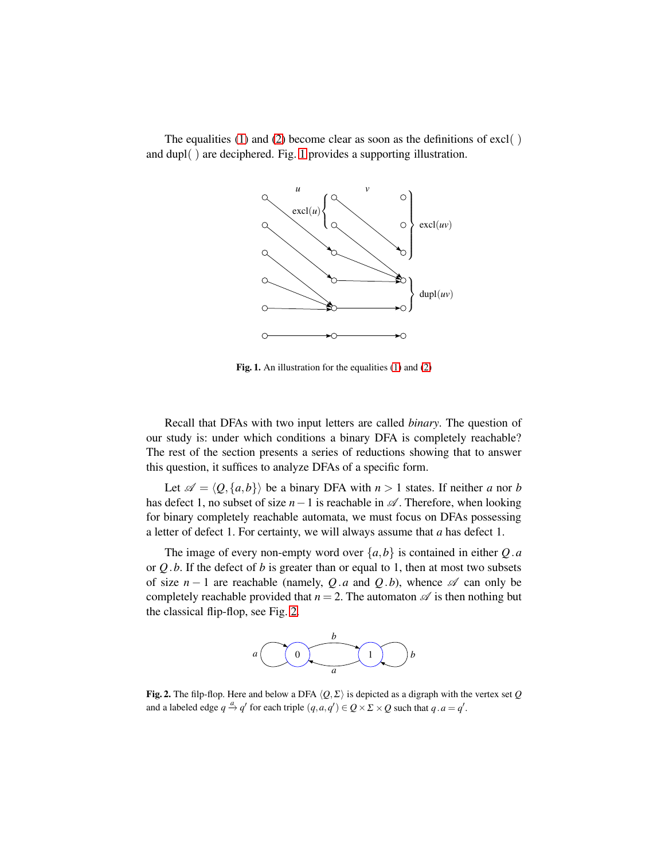

The equalities [\(1\)](#page-1-0) and [\(2\)](#page-1-1) become clear as soon as the definitions of excl( ) and dupl( ) are deciphered. Fig. [1](#page-2-0) provides a supporting illustration.

<span id="page-2-0"></span>Fig. 1. An illustration for the equalities [\(1\)](#page-1-0) and [\(2\)](#page-1-1)

Recall that DFAs with two input letters are called *binary*. The question of our study is: under which conditions a binary DFA is completely reachable? The rest of the section presents a series of reductions showing that to answer this question, it suffices to analyze DFAs of a specific form.

Let  $\mathscr{A} = \langle Q, \{a,b\} \rangle$  be a binary DFA with  $n > 1$  states. If neither *a* nor *b* has defect 1, no subset of size  $n-1$  is reachable in  $\mathscr A$ . Therefore, when looking for binary completely reachable automata, we must focus on DFAs possessing a letter of defect 1. For certainty, we will always assume that *a* has defect 1.

The image of every non-empty word over  $\{a,b\}$  is contained in either *Q.a* or *Q*.*b*. If the defect of *b* is greater than or equal to 1, then at most two subsets of size  $n - 1$  are reachable (namely, Q.*a* and Q.*b*), whence  $\mathscr A$  can only be completely reachable provided that  $n = 2$ . The automaton  $\mathscr A$  is then nothing but the classical flip-flop, see Fig. [2.](#page-2-1)



<span id="page-2-1"></span>Fig. 2. The filp-flop. Here and below a DFA  $\langle Q, \Sigma \rangle$  is depicted as a digraph with the vertex set *Q* and a labeled edge  $q \stackrel{a}{\rightarrow} q'$  for each triple  $(q, a, q') \in Q \times \Sigma \times Q$  such that  $q \cdot a = q'$ .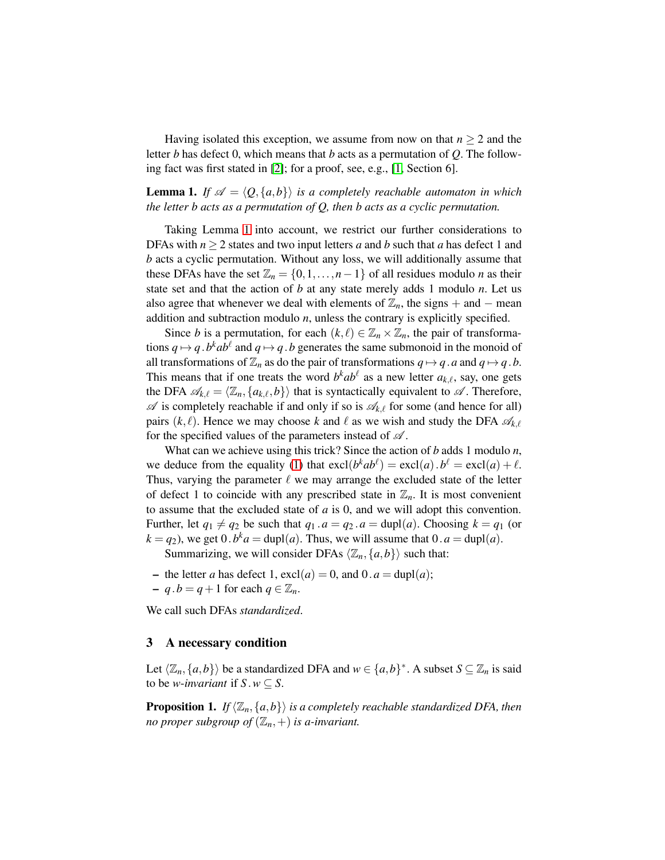Having isolated this exception, we assume from now on that  $n \geq 2$  and the letter *b* has defect 0, which means that *b* acts as a permutation of *Q*. The following fact was first stated in [\[2\]](#page-15-0); for a proof, see, e.g., [\[1,](#page-15-4) Section 6].

<span id="page-3-0"></span>**Lemma 1.** If  $\mathcal{A} = \langle Q, \{a,b\} \rangle$  *is a completely reachable automaton in which the letter b acts as a permutation of Q, then b acts as a cyclic permutation.*

Taking Lemma [1](#page-3-0) into account, we restrict our further considerations to DFAs with  $n \geq 2$  states and two input letters *a* and *b* such that *a* has defect 1 and *b* acts a cyclic permutation. Without any loss, we will additionally assume that these DFAs have the set  $\mathbb{Z}_n = \{0, 1, \ldots, n-1\}$  of all residues modulo *n* as their state set and that the action of *b* at any state merely adds 1 modulo *n*. Let us also agree that whenever we deal with elements of  $\mathbb{Z}_n$ , the signs + and − mean addition and subtraction modulo *n*, unless the contrary is explicitly specified.

Since *b* is a permutation, for each  $(k, \ell) \in \mathbb{Z}_n \times \mathbb{Z}_n$ , the pair of transformations  $q \mapsto q \cdot b^k ab^{\ell}$  and  $q \mapsto q \cdot b$  generates the same submonoid in the monoid of all transformations of  $\mathbb{Z}_n$  as do the pair of transformations  $q \mapsto q$ . *a* and  $q \mapsto q$ . *b*. This means that if one treats the word  $b^k a b^l$  as a new letter  $a_{k,\ell}$ , say, one gets the DFA  $\mathscr{A}_{k,\ell} = \langle \mathbb{Z}_n, \{a_{k,\ell}, b\} \rangle$  that is syntactically equivalent to  $\mathscr{A}$ . Therefore,  $\mathscr A$  is completely reachable if and only if so is  $\mathscr A_{k,\ell}$  for some (and hence for all) pairs  $(k, l)$ . Hence we may choose k and l as we wish and study the DFA  $\mathscr{A}_{k,l}$ for the specified values of the parameters instead of  $\mathscr A$ .

What can we achieve using this trick? Since the action of *b* adds 1 modulo *n*, we deduce from the equality [\(1\)](#page-1-0) that  $\text{excl}(b^k a b^l) = \text{excl}(a) b^l = \text{excl}(a) + l$ . Thus, varying the parameter  $\ell$  we may arrange the excluded state of the letter of defect 1 to coincide with any prescribed state in  $\mathbb{Z}_n$ . It is most convenient to assume that the excluded state of *a* is 0, and we will adopt this convention. Further, let  $q_1 \neq q_2$  be such that  $q_1 \cdot a = q_2 \cdot a = \text{dupl}(a)$ . Choosing  $k = q_1$  (or  $k = q_2$ ), we get  $0.b^k a = \text{dupl}(a)$ . Thus, we will assume that  $0.a = \text{dupl}(a)$ .

Summarizing, we will consider DFAs  $\langle \mathbb{Z}_n, \{a, b\} \rangle$  such that:

- the letter *a* has defect 1,  $excl(a) = 0$ , and  $0 \cdot a = dupl(a)$ ;
- $q \cdot b = q + 1$  for each  $q \in \mathbb{Z}_n$ .

We call such DFAs *standardized*.

#### 3 A necessary condition

<span id="page-3-1"></span>Let  $\langle \mathbb{Z}_n, \{a, b\} \rangle$  be a standardized DFA and  $w \in \{a, b\}^*$ . A subset  $S \subseteq \mathbb{Z}_n$  is said to be *w*-*invariant* if  $S \cdot w \subseteq S$ .

**Proposition 1.** *If*  $\langle \mathbb{Z}_n, \{a,b\} \rangle$  *is a completely reachable standardized DFA, then no proper subgroup of*  $(\mathbb{Z}_n, +)$  *is a-invariant.*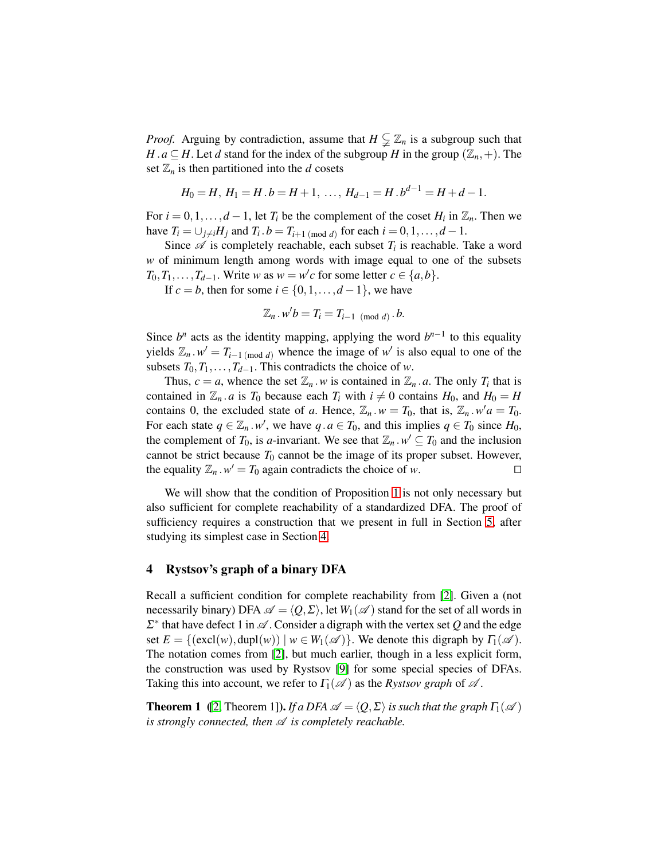*Proof.* Arguing by contradiction, assume that  $H \subsetneq \mathbb{Z}_n$  is a subgroup such that *H* .  $a \subseteq H$ . Let *d* stand for the index of the subgroup *H* in the group  $(\mathbb{Z}_n, +)$ . The set  $\mathbb{Z}_n$  is then partitioned into the *d* cosets

$$
H_0 = H, H_1 = H.b = H+1, \ldots, H_{d-1} = H.b^{d-1} = H+d-1.
$$

For  $i = 0, 1, \ldots, d - 1$ , let  $T_i$  be the complement of the coset  $H_i$  in  $\mathbb{Z}_n$ . Then we have  $T_i = \bigcup_{j \neq i} H_j$  and  $T_i \cdot b = T_{i+1 \pmod{d}}$  for each  $i = 0, 1, \ldots, d - 1$ .

Since  $\mathscr A$  is completely reachable, each subset  $T_i$  is reachable. Take a word *w* of minimum length among words with image equal to one of the subsets  $T_0, T_1, \ldots, T_{d-1}$ . Write *w* as  $w = w'c$  for some letter  $c \in \{a, b\}$ .

If  $c = b$ , then for some  $i \in \{0, 1, \ldots, d - 1\}$ , we have

$$
\mathbb{Z}_n \cdot w'b = T_i = T_{i-1 \pmod{d}} \cdot b.
$$

Since  $b^n$  acts as the identity mapping, applying the word  $b^{n-1}$  to this equality yields  $\mathbb{Z}_n \cdot w' = T_{i-1 \pmod{d}}$  whence the image of w' is also equal to one of the subsets  $T_0, T_1, \ldots, T_{d-1}$ . This contradicts the choice of *w*.

Thus,  $c = a$ , whence the set  $\mathbb{Z}_n \times w$  is contained in  $\mathbb{Z}_n \times a$ . The only  $T_i$  that is contained in  $\mathbb{Z}_n$  *a* is  $T_0$  because each  $T_i$  with  $i \neq 0$  contains  $H_0$ , and  $H_0 = H$ contains 0, the excluded state of *a*. Hence,  $\mathbb{Z}_n \cdot w = T_0$ , that is,  $\mathbb{Z}_n \cdot w' \cdot a = T_0$ . For each state  $q \in \mathbb{Z}_n$ . *w'*, we have  $q \cdot a \in T_0$ , and this implies  $q \in T_0$  since  $H_0$ , the complement of  $T_0$ , is *a*-invariant. We see that  $\mathbb{Z}_n \cdot w' \subseteq T_0$  and the inclusion cannot be strict because  $T_0$  cannot be the image of its proper subset. However, the equality  $\mathbb{Z}_n \cdot w' = T_0$  again contradicts the choice of *w*. □

We will show that the condition of Proposition [1](#page-3-1) is not only necessary but also sufficient for complete reachability of a standardized DFA. The proof of sufficiency requires a construction that we present in full in Section [5,](#page-9-0) after studying its simplest case in Section [4.](#page-4-0)

## <span id="page-4-0"></span>4 Rystsov's graph of a binary DFA

Recall a sufficient condition for complete reachability from [\[2\]](#page-15-0). Given a (not necessarily binary) DFA  $\mathscr{A} = \langle O, \Sigma \rangle$ , let  $W_1(\mathscr{A})$  stand for the set of all words in  $\Sigma^*$  that have defect 1 in  $\mathscr A$ . Consider a digraph with the vertex set Q and the edge set  $E = \{(\text{excl}(w), \text{dupl}(w)) \mid w \in W_1(\mathcal{A})\}$ . We denote this digraph by  $\Gamma_1(\mathcal{A})$ . The notation comes from [\[2\]](#page-15-0), but much earlier, though in a less explicit form, the construction was used by Rystsov [\[9\]](#page-15-5) for some special species of DFAs. Taking this into account, we refer to  $\Gamma_1(\mathscr{A})$  as the *Rystsov graph* of  $\mathscr{A}$ .

<span id="page-4-1"></span>**Theorem 1** ([\[2,](#page-15-0) Theorem 1]). *If a DFA*  $\mathscr{A} = \langle Q, \Sigma \rangle$  *is such that the graph*  $\Gamma_1(\mathscr{A})$ *is strongly connected, then*  $A$  *is completely reachable.*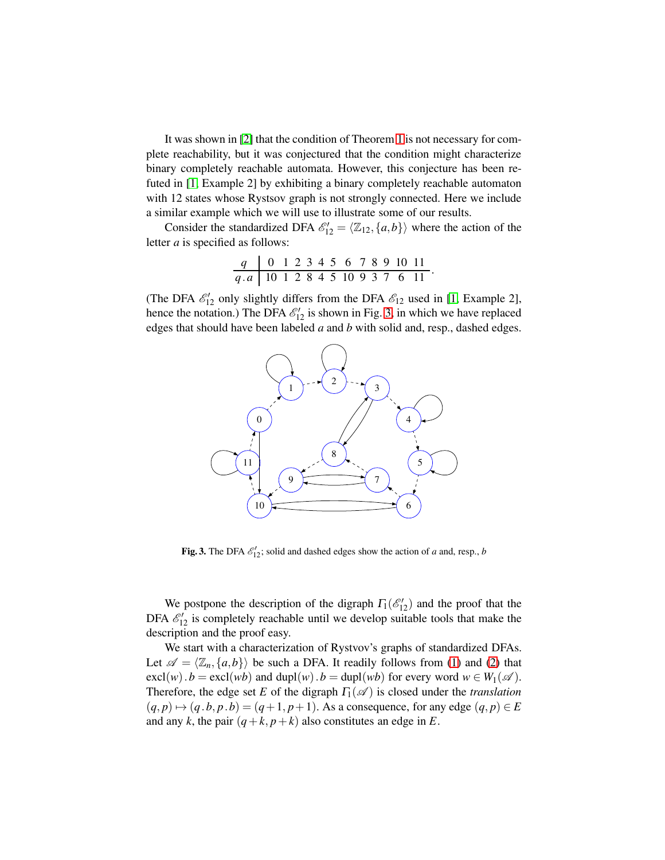It was shown in [\[2\]](#page-15-0) that the condition of Theorem [1](#page-4-1) is not necessary for complete reachability, but it was conjectured that the condition might characterize binary completely reachable automata. However, this conjecture has been refuted in [\[1,](#page-15-4) Example 2] by exhibiting a binary completely reachable automaton with 12 states whose Rystsov graph is not strongly connected. Here we include a similar example which we will use to illustrate some of our results.

Consider the standardized DFA  $\mathcal{E}'_{12} = \langle \mathbb{Z}_{12}, \{a, b\} \rangle$  where the action of the letter *a* is specified as follows:

$$
\begin{array}{c|cccccccc}\nq & 0 & 1 & 2 & 3 & 4 & 5 & 6 & 7 & 8 & 9 & 10 & 11 \\
\hline\nq.a & 10 & 1 & 2 & 8 & 4 & 5 & 10 & 9 & 3 & 7 & 6 & 11\n\end{array}.
$$

(The DFA  $\mathcal{E}'_{12}$  only slightly differs from the DFA  $\mathcal{E}_{12}$  used in [\[1,](#page-15-4) Example 2], hence the notation.) The DFA  $\mathcal{E}'_{12}$  is shown in Fig. [3,](#page-5-0) in which we have replaced edges that should have been labeled *a* and *b* with solid and, resp., dashed edges.



<span id="page-5-0"></span>Fig. 3. The DFA  $\mathcal{E}'_{12}$ ; solid and dashed edges show the action of *a* and, resp., *b* 

We postpone the description of the digraph  $\Gamma_1(\mathcal{E}'_{12})$  and the proof that the DFA  $\mathcal{E}'_{12}$  is completely reachable until we develop suitable tools that make the description and the proof easy.

We start with a characterization of Rystvov's graphs of standardized DFAs. Let  $\mathscr{A} = \langle \mathbb{Z}_n, \{a,b\} \rangle$  be such a DFA. It readily follows from [\(1\)](#page-1-0) and [\(2\)](#page-1-1) that  $\text{excl}(w) \cdot b = \text{excl}(wb)$  and  $\text{dupl}(w) \cdot b = \text{dupl}(wb)$  for every word  $w \in W_1(\mathscr{A})$ . Therefore, the edge set *E* of the digraph  $\Gamma_1(\mathscr{A})$  is closed under the *translation*  $(q, p) \mapsto (q, b, p, b) = (q + 1, p + 1)$ . As a consequence, for any edge  $(q, p) \in E$ and any *k*, the pair  $(q+k, p+k)$  also constitutes an edge in *E*.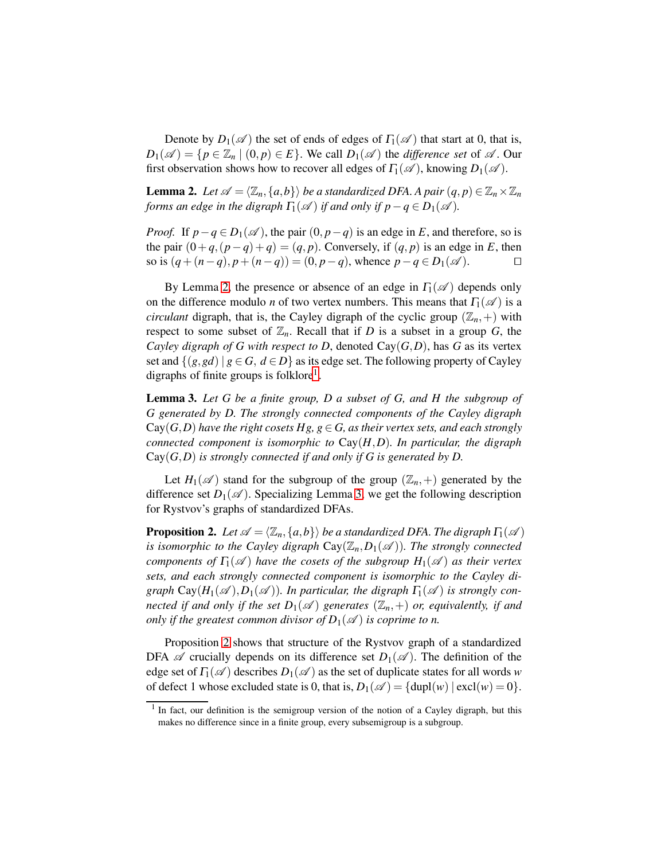<span id="page-6-0"></span>Denote by  $D_1(\mathscr{A})$  the set of ends of edges of  $\Gamma_1(\mathscr{A})$  that start at 0, that is,  $D_1(\mathscr{A}) = \{p \in \mathbb{Z}_n \mid (0, p) \in E\}$ . We call  $D_1(\mathscr{A})$  the *difference set* of  $\mathscr{A}$ . Our first observation shows how to recover all edges of  $\Gamma_1(\mathscr{A})$ , knowing  $D_1(\mathscr{A})$ .

**Lemma 2.** Let  $\mathscr{A} = \langle \mathbb{Z}_n, \{a,b\}\rangle$  be a standardized DFA. A pair  $(q, p) \in \mathbb{Z}_n \times \mathbb{Z}_n$ *forms an edge in the digraph*  $\Gamma_1(\mathscr{A})$  *if and only if p*−*q* ∈ *D*<sub>1</sub>( $\mathscr{A}$ ).

*Proof.* If  $p - q \in D_1(\mathcal{A})$ , the pair  $(0, p - q)$  is an edge in *E*, and therefore, so is the pair  $(0+q,(p-q)+q) = (q,p)$ . Conversely, if  $(q,p)$  is an edge in *E*, then so is  $(q+(n-q), p+(n-q)) = (0, p-q)$ , whence  $p-q \in D_1(\mathscr{A})$ . so is  $(q + (n-q), p + (n-q)) = (0, p-q)$ , whence  $p - q \in D_1(\mathcal{A})$ .

By Lemma [2,](#page-6-0) the presence or absence of an edge in  $\Gamma_1(\mathscr{A})$  depends only on the difference modulo *n* of two vertex numbers. This means that  $\Gamma_1(\mathscr{A})$  is a *circulant* digraph, that is, the Cayley digraph of the cyclic group  $(\mathbb{Z}_n, +)$  with respect to some subset of  $\mathbb{Z}_n$ . Recall that if *D* is a subset in a group *G*, the *Cayley digraph of G with respect to D, denoted*  $Cay(G,D)$ *, has G as its vertex* set and  $\{(g, gd) | g \in G, d \in D\}$  as its edge set. The following property of Cayley digraphs of finite groups is folklore<sup>[1](#page-6-1)</sup>.

<span id="page-6-2"></span>Lemma 3. *Let G be a finite group, D a subset of G, and H the subgroup of G generated by D. The strongly connected components of the Cayley digraph*  $Cay(G,D)$  *have the right cosets Hg, g*  $\in$  *G, as their vertex sets, and each strongly connected component is isomorphic to* Cay(*H*,*D*)*. In particular, the digraph* Cay(*G*,*D*) *is strongly connected if and only if G is generated by D.*

<span id="page-6-3"></span>Let  $H_1(\mathscr{A})$  stand for the subgroup of the group  $(\mathbb{Z}_n, +)$  generated by the difference set  $D_1(\mathscr{A})$ . Specializing Lemma [3,](#page-6-2) we get the following description for Rystvov's graphs of standardized DFAs.

**Proposition 2.** *Let*  $\mathscr{A} = \langle \mathbb{Z}_n, \{a,b\} \rangle$  *be a standardized DFA. The digraph*  $\Gamma_1(\mathscr{A})$ *is isomorphic to the Cayley digraph*  $Cay(\mathbb{Z}_n, D_1(\mathcal{A}))$ *. The strongly connected components of*  $\Gamma_1(\mathscr{A})$  *have the cosets of the subgroup*  $H_1(\mathscr{A})$  *as their vertex sets, and each strongly connected component is isomorphic to the Cayley digraph*  $Cay(H_1(\mathscr{A}), D_1(\mathscr{A}))$ *. In particular, the digraph*  $\Gamma_1(\mathscr{A})$  *is strongly connected if and only if the set*  $D_1(\mathscr{A})$  *generates*  $(\mathbb{Z}_n, +)$  *or, equivalently, if and only if the greatest common divisor of*  $D_1(\mathscr{A})$  *is coprime to n.* 

Proposition [2](#page-6-3) shows that structure of the Rystvov graph of a standardized DFA  $\mathscr A$  crucially depends on its difference set  $D_1(\mathscr A)$ . The definition of the edge set of  $\Gamma_1(\mathscr{A})$  describes  $D_1(\mathscr{A})$  as the set of duplicate states for all words *w* of defect 1 whose excluded state is 0, that is,  $D_1(\mathscr{A}) = {\text{dupl}(w) | \text{excl}(w) = 0}.$ 

<span id="page-6-1"></span><sup>&</sup>lt;sup>1</sup> In fact, our definition is the semigroup version of the notion of a Cayley digraph, but this makes no difference since in a finite group, every subsemigroup is a subgroup.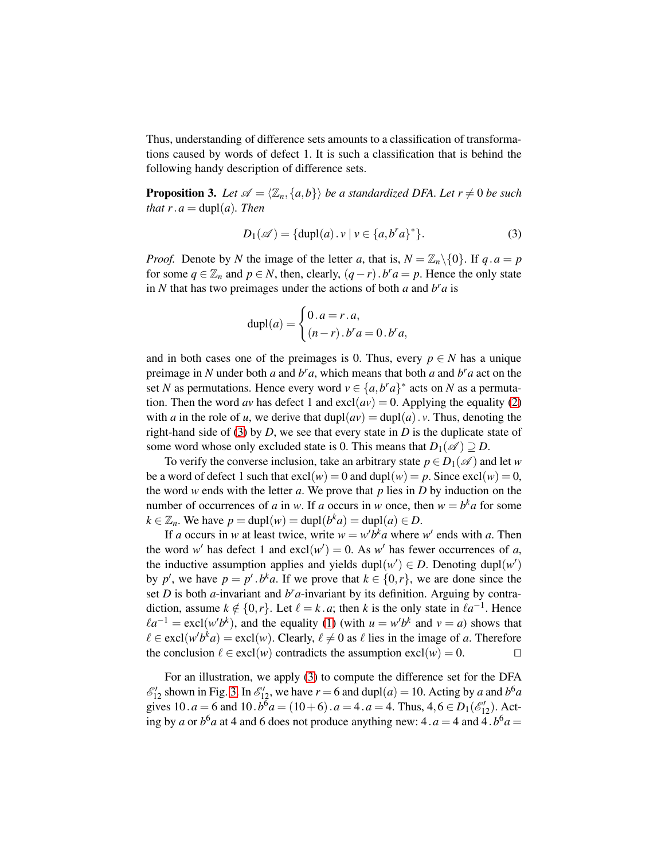Thus, understanding of difference sets amounts to a classification of transformations caused by words of defect 1. It is such a classification that is behind the following handy description of difference sets.

<span id="page-7-1"></span>**Proposition 3.** Let  $\mathscr{A} = \langle \mathbb{Z}_n, \{a, b\} \rangle$  *be a standardized DFA. Let*  $r \neq 0$  *be such that*  $r \cdot a = \text{dupl}(a)$ *. Then* 

<span id="page-7-0"></span>
$$
D_1(\mathscr{A}) = \{ \text{dupl}(a) \cdot v \mid v \in \{a, b^r a\}^* \}. \tag{3}
$$

*Proof.* Denote by *N* the image of the letter *a*, that is,  $N = \mathbb{Z}_n \setminus \{0\}$ . If  $q \cdot a = p$ for some  $q \in \mathbb{Z}_n$  and  $p \in N$ , then, clearly,  $(q - r) \cdot b^r a = p$ . Hence the only state in *N* that has two preimages under the actions of both *a* and  $b^r a$  is

$$
\text{dupl}(a) = \begin{cases} 0 \cdot a = r \cdot a, \\ (n-r) \cdot b^r a = 0 \cdot b^r a, \end{cases}
$$

and in both cases one of the preimages is 0. Thus, every  $p \in N$  has a unique preimage in *N* under both *a* and  $b^r a$ , which means that both *a* and  $b^r a$  act on the set *N* as permutations. Hence every word  $v \in \{a, b^r a\}^*$  acts on *N* as a permutation. Then the word *av* has defect 1 and  $\exp(av) = 0$ . Applying the equality [\(2\)](#page-1-1) with *a* in the role of *u*, we derive that  $dupl(av) = dupl(a) \cdot v$ . Thus, denoting the right-hand side of [\(3\)](#page-7-0) by *D*, we see that every state in *D* is the duplicate state of some word whose only excluded state is 0. This means that  $D_1(\mathscr{A}) \supseteq D$ .

To verify the converse inclusion, take an arbitrary state  $p \in D_1(\mathscr{A})$  and let *w* be a word of defect 1 such that  $excl(w) = 0$  and  $dupl(w) = p$ . Since  $excl(w) = 0$ , the word *w* ends with the letter *a*. We prove that *p* lies in *D* by induction on the number of occurrences of *a* in *w*. If *a* occurs in *w* once, then  $w = b^k a$  for some  $k \in \mathbb{Z}_n$ . We have  $p = \text{dupl}(w) = \text{dupl}(b^k a) = \text{dupl}(a) \in D$ .

If *a* occurs in *w* at least twice, write  $w = w'b^k a$  where  $w'$  ends with *a*. Then the word *w*<sup> $\prime$ </sup> has defect 1 and excl $(w') = 0$ . As *w*<sup> $\prime$ </sup> has fewer occurrences of *a*, the inductive assumption applies and yields dupl $(w') \in D$ . Denoting dupl $(w')$ by *p*', we have  $p = p'$ . *b*<sup>*k*</sup>*a*. If we prove that  $k \in \{0, r\}$ , we are done since the set  $D$  is both  $a$ -invariant and  $b^r a$ -invariant by its definition. Arguing by contradiction, assume  $k \notin \{0, r\}$ . Let  $\ell = k \cdot a$ ; then *k* is the only state in  $\ell a^{-1}$ . Hence  $\ell a^{-1} = \text{excl}(w'b^k)$ , and the equality [\(1\)](#page-1-0) (with  $u = w'b^k$  and  $v = a$ ) shows that  $\ell \in \text{excl}(w'b^k a) = \text{excl}(w)$ . Clearly,  $\ell \neq 0$  as  $\ell$  lies in the image of *a*. Therefore the conclusion  $\ell \in \text{excl}(w)$  contradicts the assumption  $\text{excl}(w) = 0$ . □

For an illustration, we apply [\(3\)](#page-7-0) to compute the difference set for the DFA  $\mathcal{E}'_{12}$  shown in Fig. [3.](#page-5-0) In  $\mathcal{E}'_{12}$ , we have  $r = 6$  and dupl $(a) = 10$ . Acting by *a* and  $b^6 a$ gives 10.  $a = 6$  and 10.  $b^6 a = (10 + 6) \cdot a = 4 \cdot a = 4$ . Thus,  $4, 6 \in D_1(\mathcal{E}_{12})$ . Acting by *a* or  $b^6a$  at 4 and 6 does not produce anything new: 4.  $a = 4$  and 4.  $b^6a =$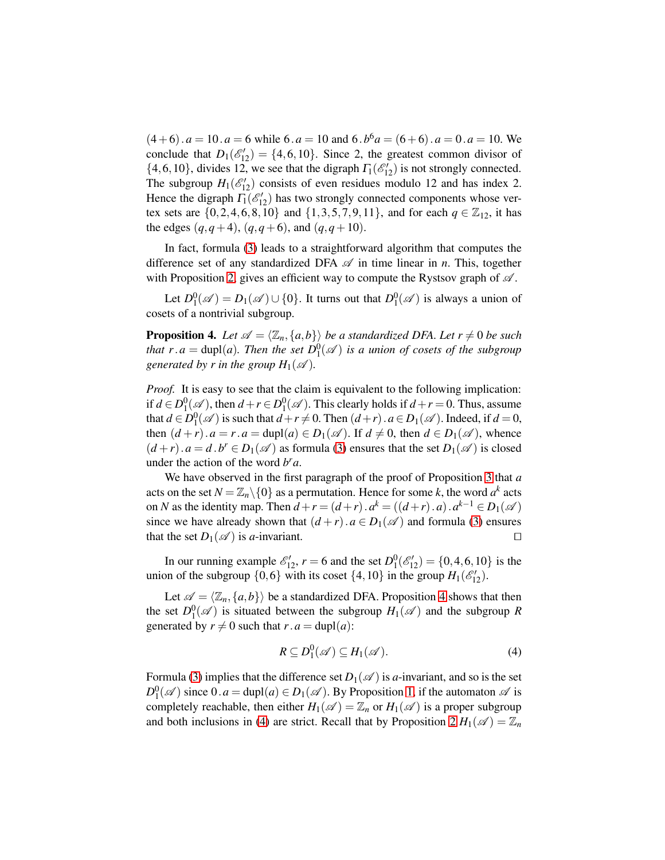$(4+6) \cdot a = 10 \cdot a = 6$  while  $6 \cdot a = 10$  and  $6 \cdot b^6 a = (6+6) \cdot a = 0 \cdot a = 10$ . We conclude that  $D_1(\mathcal{E}'_{12}) = \{4, 6, 10\}$ . Since 2, the greatest common divisor of  $\{4, 6, 10\}$ , divides 12, we see that the digraph  $\Gamma_1(\mathscr{E}'_{12})$  is not strongly connected. The subgroup  $H_1(\mathcal{E}_1')$  consists of even residues modulo 12 and has index 2. Hence the digraph  $\overline{I_1}(\mathscr{E}'_{12})$  has two strongly connected components whose vertex sets are  $\{0, 2, 4, 6, 8, 10\}$  and  $\{1, 3, 5, 7, 9, 11\}$ , and for each  $q \in \mathbb{Z}_{12}$ , it has the edges  $(q, q+4)$ ,  $(q, q+6)$ , and  $(q, q+10)$ .

In fact, formula [\(3\)](#page-7-0) leads to a straightforward algorithm that computes the difference set of any standardized DFA  $\mathscr A$  in time linear in *n*. This, together with Proposition [2,](#page-6-3) gives an efficient way to compute the Rystsov graph of  $\mathscr A$ .

<span id="page-8-0"></span>Let  $D_1^0(\mathscr{A}) = D_1(\mathscr{A}) \cup \{0\}$ . It turns out that  $D_1^0(\mathscr{A})$  is always a union of cosets of a nontrivial subgroup.

**Proposition 4.** Let  $\mathscr{A} = \langle \mathbb{Z}_n, \{a, b\} \rangle$  *be a standardized DFA. Let*  $r \neq 0$  *be such that r*.*a* = dupl(*a*)*. Then the set*  $D_1^0(\mathscr{A})$  *is a union of cosets of the subgroup generated by r in the group*  $H_1(\mathcal{A})$ *.* 

*Proof.* It is easy to see that the claim is equivalent to the following implication: if  $d \in D_1^0(\mathcal{A})$ , then  $d + r \in D_1^0(\mathcal{A})$ . This clearly holds if  $d + r = 0$ . Thus, assume that  $d \in D_1^0(\mathcal{A})$  is such that  $d + r \neq 0$ . Then  $(d+r)$ .  $a \in D_1(\mathcal{A})$ . Indeed, if  $d = 0$ , then  $(d+r)$ .  $a = r$ .  $a = \text{dupl}(a) \in D_1(\mathcal{A})$ . If  $d \neq 0$ , then  $d \in D_1(\mathcal{A})$ , whence  $(d+r)$ .  $a = d$ .  $b^r \in D_1(\mathcal{A})$  as formula [\(3\)](#page-7-0) ensures that the set  $D_1(\mathcal{A})$  is closed under the action of the word  $b^r a$ .

We have observed in the first paragraph of the proof of Proposition [3](#page-7-1) that *a* acts on the set  $N = \mathbb{Z}_n \setminus \{0\}$  as a permutation. Hence for some *k*, the word  $a^k$  acts on *N* as the identity map. Then  $d + r = (d + r) \cdot a^k = ((d + r) \cdot a) \cdot a^{k-1} \in D_1(\mathcal{A})$ since we have already shown that  $(d + r) \cdot a \in D_1(\mathcal{A})$  and formula [\(3\)](#page-7-0) ensures that the set  $D_1(\mathcal{A})$  is *a*-invariant. that the set  $D_1(\mathscr{A})$  is *a*-invariant.

In our running example  $\mathcal{E}'_{12}$ ,  $r = 6$  and the set  $D_1^0(\mathcal{E}'_{12}) = \{0, 4, 6, 10\}$  is the union of the subgroup  $\{0,6\}$  with its coset  $\{4, 10\}$  in the group  $H_1(\mathcal{E}_1)$ .

Let  $\mathscr{A} = \langle \mathbb{Z}_n, \{a, b\} \rangle$  be a standardized DFA. Proposition [4](#page-8-0) shows that then the set  $D_1^0(\mathscr{A})$  is situated between the subgroup  $H_1(\mathscr{A})$  and the subgroup R generated by  $r \neq 0$  such that  $r \cdot a = \text{dupl}(a)$ :

<span id="page-8-1"></span>
$$
R\subseteq D_1^0(\mathscr{A})\subseteq H_1(\mathscr{A}).\tag{4}
$$

Formula [\(3\)](#page-7-0) implies that the difference set  $D_1(\mathscr{A})$  is *a*-invariant, and so is the set  $D_1^0(\mathscr{A})$  since  $0.a = \text{dupl}(a) \in D_1(\mathscr{A})$ . By Proposition [1,](#page-3-1) if the automaton  $\mathscr{A}$  is completely reachable, then either  $H_1(\mathscr{A}) = \mathbb{Z}_n$  or  $H_1(\mathscr{A})$  is a proper subgroup and both inclusions in [\(4\)](#page-8-1) are strict. Recall that by Proposition [2](#page-6-3)  $H_1(\mathscr{A}) = \mathbb{Z}_n$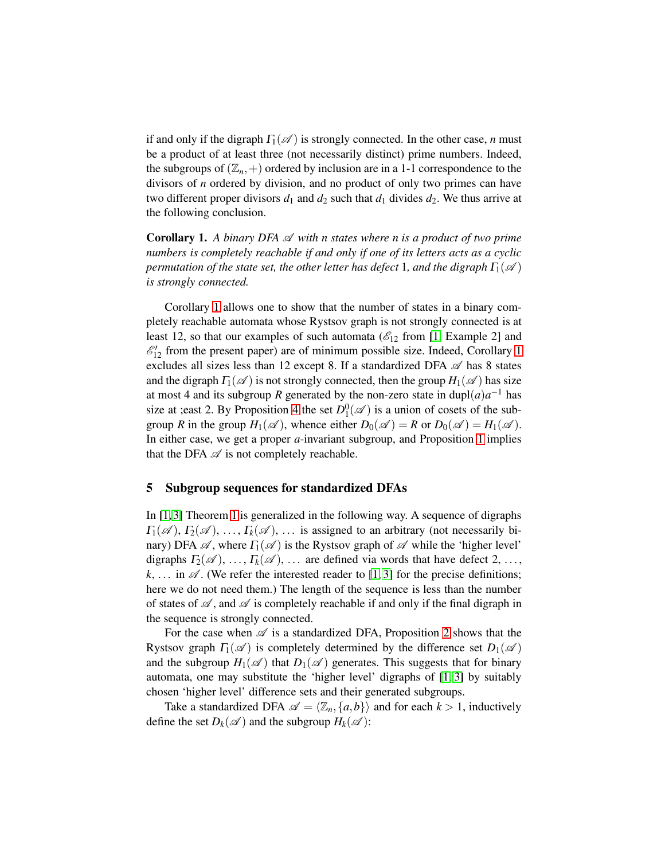if and only if the digraph  $\Gamma_1(\mathscr{A})$  is strongly connected. In the other case, *n* must be a product of at least three (not necessarily distinct) prime numbers. Indeed, the subgroups of  $(\mathbb{Z}_n, +)$  ordered by inclusion are in a 1-1 correspondence to the divisors of *n* ordered by division, and no product of only two primes can have two different proper divisors  $d_1$  and  $d_2$  such that  $d_1$  divides  $d_2$ . We thus arrive at the following conclusion.

<span id="page-9-1"></span>**Corollary 1.** A binary DFA  $\mathscr A$  with n states where n is a product of two prime *numbers is completely reachable if and only if one of its letters acts as a cyclic permutation of the state set, the other letter has defect* 1*, and the digraph*  $\Gamma_1(\mathscr{A})$ *is strongly connected.*

Corollary [1](#page-9-1) allows one to show that the number of states in a binary completely reachable automata whose Rystsov graph is not strongly connected is at least 12, so that our examples of such automata ( $\mathcal{E}_{12}$  from [\[1,](#page-15-4) Example 2] and  $\mathcal{E}'_{12}$  from the present paper) are of minimum possible size. Indeed, Corollary [1](#page-9-1) excludes all sizes less than 12 except 8. If a standardized DFA  $\mathscr A$  has 8 states and the digraph  $\Gamma_1(\mathscr{A})$  is not strongly connected, then the group  $H_1(\mathscr{A})$  has size at most 4 and its subgroup *R* generated by the non-zero state in dupl $(a)a^{-1}$  has size at ; east 2. By Proposition [4](#page-8-0) the set  $D_1^0(\mathscr{A})$  is a union of cosets of the subgroup *R* in the group  $H_1(\mathscr{A})$ , whence either  $D_0(\mathscr{A}) = R$  or  $D_0(\mathscr{A}) = H_1(\mathscr{A})$ . In either case, we get a proper *a*-invariant subgroup, and Proposition [1](#page-3-1) implies that the DFA  $\mathscr A$  is not completely reachable.

### <span id="page-9-0"></span>5 Subgroup sequences for standardized DFAs

In [\[1,](#page-15-4) [3\]](#page-15-3) Theorem [1](#page-4-1) is generalized in the following way. A sequence of digraphs  $\Gamma_1(\mathscr{A}), \Gamma_2(\mathscr{A}), \ldots, \Gamma_k(\mathscr{A}), \ldots$  is assigned to an arbitrary (not necessarily binary) DFA  $\mathscr A$ , where  $\Gamma_1(\mathscr A)$  is the Rystsov graph of  $\mathscr A$  while the 'higher level' digraphs  $\Gamma_2(\mathscr{A}), \ldots, \Gamma_k(\mathscr{A}), \ldots$  are defined via words that have defect 2, ...,  $k, \ldots$  in  $\mathscr A$ . (We refer the interested reader to [\[1,](#page-15-4) [3\]](#page-15-3) for the precise definitions; here we do not need them.) The length of the sequence is less than the number of states of  $\mathscr A$ , and  $\mathscr A$  is completely reachable if and only if the final digraph in the sequence is strongly connected.

For the case when  $\mathscr A$  is a standardized DFA, Proposition [2](#page-6-3) shows that the Rystsov graph  $\Gamma_1(\mathscr{A})$  is completely determined by the difference set  $D_1(\mathscr{A})$ and the subgroup  $H_1(\mathscr{A})$  that  $D_1(\mathscr{A})$  generates. This suggests that for binary automata, one may substitute the 'higher level' digraphs of [\[1,](#page-15-4) [3\]](#page-15-3) by suitably chosen 'higher level' difference sets and their generated subgroups.

Take a standardized DFA  $\mathscr{A} = \langle \mathbb{Z}_n, \{a, b\} \rangle$  and for each  $k > 1$ , inductively define the set  $D_k(\mathcal{A})$  and the subgroup  $H_k(\mathcal{A})$ :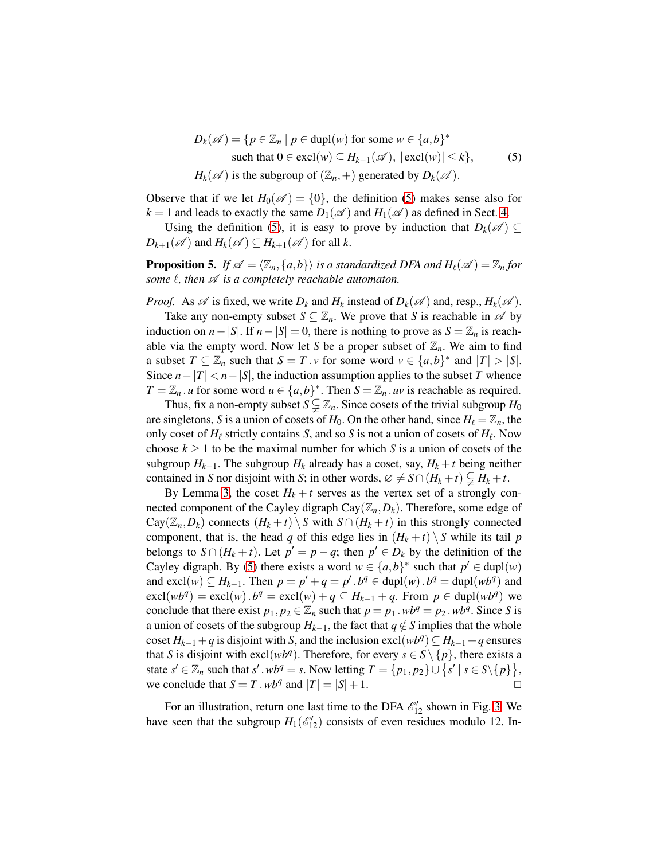<span id="page-10-0"></span>
$$
D_k(\mathscr{A}) = \{ p \in \mathbb{Z}_n \mid p \in \text{dupl}(w) \text{ for some } w \in \{a, b\}^* \text{ such that } 0 \in \text{excl}(w) \subseteq H_{k-1}(\mathscr{A}), \ |\text{excl}(w)| \le k \},\tag{5}
$$
  

$$
H_k(\mathscr{A}) \text{ is the subgroup of } (\mathbb{Z}_n, +) \text{ generated by } D_k(\mathscr{A}).
$$

Observe that if we let  $H_0(\mathscr{A}) = \{0\}$ , the definition [\(5\)](#page-10-0) makes sense also for  $k = 1$  and leads to exactly the same  $D_1(\mathscr{A})$  and  $H_1(\mathscr{A})$  as defined in Sect. [4.](#page-4-0)

<span id="page-10-1"></span>Using the definition [\(5\)](#page-10-0), it is easy to prove by induction that  $D_k(\mathscr{A}) \subseteq$  $D_{k+1}(\mathscr{A})$  and  $H_k(\mathscr{A}) \subseteq H_{k+1}(\mathscr{A})$  for all *k*.

**Proposition 5.** If  $\mathscr{A} = \langle \mathbb{Z}_n, \{a,b\} \rangle$  is a standardized DFA and  $H_\ell(\mathscr{A}) = \mathbb{Z}_n$  for *some*  $ℓ$ *, then*  $\mathscr A$  *is a completely reachable automaton.* 

*Proof.* As  $\mathscr A$  is fixed, we write  $D_k$  and  $H_k$  instead of  $D_k(\mathscr A)$  and, resp.,  $H_k(\mathscr A)$ .

Take any non-empty subset  $S \subseteq \mathbb{Z}_n$ . We prove that *S* is reachable in  $\mathcal A$  by induction on *n* − |*S*|. If *n* − |*S*| = 0, there is nothing to prove as  $S = \mathbb{Z}_n$  is reachable via the empty word. Now let *S* be a proper subset of  $\mathbb{Z}_n$ . We aim to find a subset  $T \subseteq \mathbb{Z}_n$  such that  $S = T \cdot v$  for some word  $v \in \{a, b\}^*$  and  $|T| > |S|$ . Since  $n-|T| < n-|S|$ , the induction assumption applies to the subset *T* whence  $T = \mathbb{Z}_n$ . *u* for some word  $u \in \{a, b\}^*$ . Then  $S = \mathbb{Z}_n$ . *uv* is reachable as required.

Thus, fix a non-empty subset  $S \subsetneq \mathbb{Z}_n$ . Since cosets of the trivial subgroup  $H_0$ are singletons, *S* is a union of cosets of  $H_0$ . On the other hand, since  $H_\ell = \mathbb{Z}_n$ , the only coset of *H*<sup>ℓ</sup> strictly contains *S*, and so *S* is not a union of cosets of *H*<sup>ℓ</sup> . Now choose  $k \ge 1$  to be the maximal number for which *S* is a union of cosets of the subgroup  $H_{k-1}$ . The subgroup  $H_k$  already has a coset, say,  $H_k + t$  being neither contained in *S* nor disjoint with *S*; in other words,  $\varnothing \neq S \cap (H_k + t) \subsetneq H_k + t$ .

By Lemma [3,](#page-6-2) the coset  $H_k + t$  serves as the vertex set of a strongly connected component of the Cayley digraph  $Cay(\mathbb{Z}_n, D_k)$ . Therefore, some edge of  $Cay(\mathbb{Z}_n, D_k)$  connects  $(H_k + t) \setminus S$  with  $S \cap (H_k + t)$  in this strongly connected component, that is, the head *q* of this edge lies in  $(H_k + t) \setminus S$  while its tail *p* belongs to  $S \cap (H_k + t)$ . Let  $p' = p - q$ ; then  $p' \in D_k$  by the definition of the Cayley digraph. By [\(5\)](#page-10-0) there exists a word  $w \in \{a, b\}^*$  such that  $p' \in \text{dupl}(w)$ and  $\text{excl}(w) \subseteq H_{k-1}$ . Then  $p = p' + q = p'$ .  $b^q \in \text{dupl}(w)$ .  $b^q = \text{dupl}(wb^q)$  and  $\text{excl}(wb^q) = \text{excl}(w) \cdot b^q = \text{excl}(w) + q \subseteq H_{k-1} + q$ . From  $p \in \text{dupl}(wb^q)$  we conclude that there exist  $p_1, p_2 \in \mathbb{Z}_n$  such that  $p = p_1 \cdot wb^q = p_2 \cdot wb^q$ . Since *S* is a union of cosets of the subgroup  $H_{k-1}$ , the fact that  $q \notin S$  implies that the whole coset  $H_{k-1} + q$  is disjoint with *S*, and the inclusion excl( $wb<sup>q</sup>$ )  $\subseteq$   $H_{k-1} + q$  ensures that *S* is disjoint with excl( $wb<sup>q</sup>$ ). Therefore, for every  $s \in S \setminus \{p\}$ , there exists a state  $s' \in \mathbb{Z}_n$  such that  $s' \cdot wb^q = s$ . Now letting  $T = \{p_1, p_2\} \cup \{s' \mid s \in S \setminus \{p\}\},\$ we conclude that  $S = T \cdot wb^q$  and  $|T| = |S| + 1$ . □

For an illustration, return one last time to the DFA  $\mathcal{E}_{12}^{\prime\prime}$  shown in Fig. [3.](#page-5-0) We have seen that the subgroup  $H_1(\mathcal{E}'_{12})$  consists of even residues modulo 12. In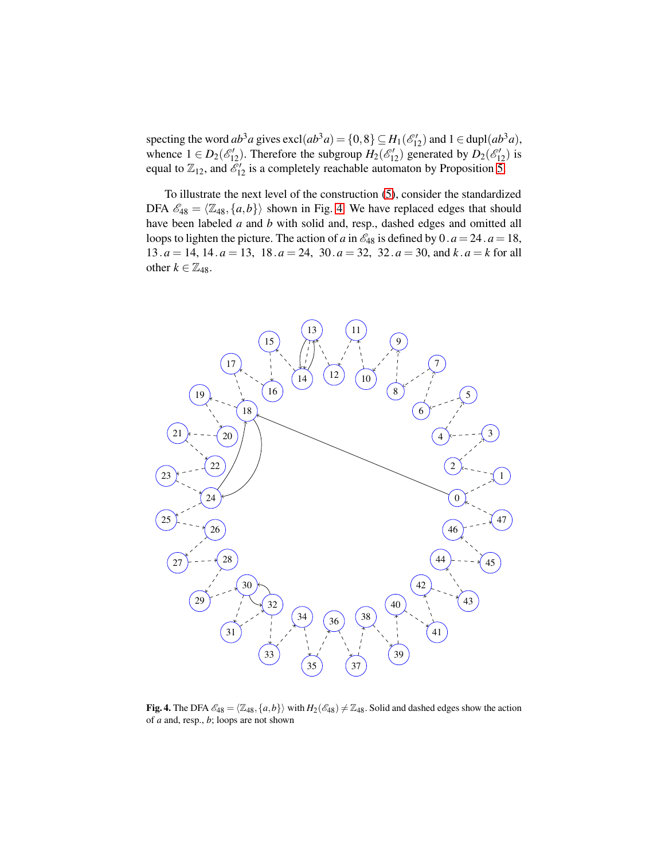specting the word  $ab^3a$  gives  $\text{excl}(ab^3a) = \{0,8\} \subseteq H_1(\mathcal{E}'_{12})$  and  $1 \in \text{dupl}(ab^3a)$ , whence  $1 \in D_2(\mathcal{E}_{12})$ . Therefore the subgroup  $H_2(\mathcal{E}_{12}')$  generated by  $D_2(\mathcal{E}_{12}')$  is equal to  $\mathbb{Z}_{12}$ , and  $\mathcal{E}'_{12}$  is a completely reachable automaton by Proposition [5.](#page-10-1)

To illustrate the next level of the construction [\(5\)](#page-10-0), consider the standardized DFA  $\mathscr{E}_{48} = \langle \mathbb{Z}_{48}, \{a,b\} \rangle$  shown in Fig. [4.](#page-11-0) We have replaced edges that should have been labeled *a* and *b* with solid and, resp., dashed edges and omitted all loops to lighten the picture. The action of *a* in  $\mathcal{E}_{48}$  is defined by 0.  $a = 24$ .  $a = 18$ , .*a* = 14, 14. *a* = 13, 18.*a* = 24, 30. *a* = 32, 32.*a* = 30, and *k* .*a* = *k* for all other  $k \in \mathbb{Z}_{48}$ .



<span id="page-11-0"></span>Fig. 4. The DFA  $\mathscr{E}_{48} = \langle \mathbb{Z}_{48}, \{a,b\}\rangle$  with  $H_2(\mathscr{E}_{48}) \neq \mathbb{Z}_{48}$ . Solid and dashed edges show the action of *a* and, resp., *b*; loops are not shown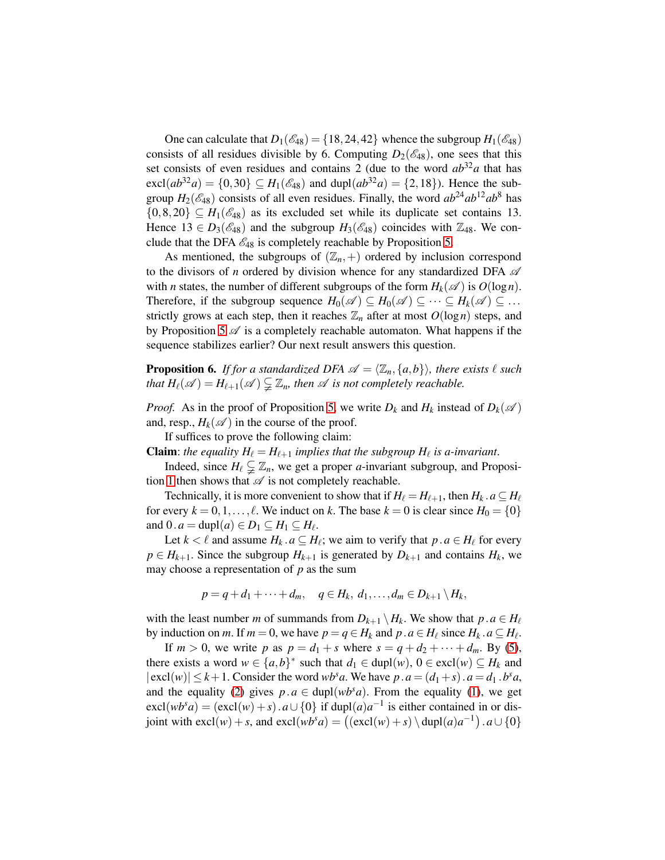One can calculate that  $D_1(\mathscr{E}_{48}) = \{18, 24, 42\}$  whence the subgroup  $H_1(\mathscr{E}_{48})$ consists of all residues divisible by 6. Computing  $D_2(\mathscr{E}_{48})$ , one sees that this set consists of even residues and contains 2 (due to the word  $ab^{32}a$  that has  $\text{excl}(ab^{32}a) = \{0,30\} \subseteq H_1(\mathcal{E}_{48})$  and  $\text{dupl}(ab^{32}a) = \{2,18\}$ ). Hence the subgroup  $H_2(\mathcal{E}_{48})$  consists of all even residues. Finally, the word  $ab^{24}ab^{12}ab^8$  has  $\{0,8,20\} \subseteq H_1(\mathcal{E}_{48})$  as its excluded set while its duplicate set contains 13. Hence  $13 \in D_3(\mathscr{E}_{48})$  and the subgroup  $H_3(\mathscr{E}_{48})$  coincides with  $\mathbb{Z}_{48}$ . We conclude that the DFA  $\mathcal{E}_{48}$  is completely reachable by Proposition [5.](#page-10-1)

As mentioned, the subgroups of  $(\mathbb{Z}_n, +)$  ordered by inclusion correspond to the divisors of *n* ordered by division whence for any standardized DFA  $\mathscr A$ with *n* states, the number of different subgroups of the form  $H_k(\mathscr{A})$  is  $O(\log n)$ . Therefore, if the subgroup sequence  $H_0(\mathscr{A}) \subseteq H_0(\mathscr{A}) \subseteq \cdots \subseteq H_k(\mathscr{A}) \subseteq \cdots$ strictly grows at each step, then it reaches  $\mathbb{Z}_n$  after at most  $O(\log n)$  steps, and by Proposition [5](#page-10-1)  $\mathscr A$  is a completely reachable automaton. What happens if the sequence stabilizes earlier? Our next result answers this question.

<span id="page-12-0"></span>**Proposition 6.** *If for a standardized DFA*  $\mathscr{A} = \langle \mathbb{Z}_n, \{a,b\} \rangle$ *, there exists*  $\ell$  *such that*  $H_{\ell}(\mathscr{A}) = H_{\ell+1}(\mathscr{A}) \subsetneq \mathbb{Z}_n$ *, then*  $\mathscr{A}$  *is not completely reachable.* 

*Proof.* As in the proof of Proposition [5,](#page-10-1) we write  $D_k$  and  $H_k$  instead of  $D_k(\mathcal{A})$ and, resp.,  $H_k(\mathcal{A})$  in the course of the proof.

If suffices to prove the following claim:

**Claim**: *the equality*  $H_{\ell} = H_{\ell+1}$  *implies that the subgroup*  $H_{\ell}$  *is a-invariant.* 

Indeed, since  $H_{\ell} \subsetneq \mathbb{Z}_n$ , we get a proper *a*-invariant subgroup, and Proposi-tion [1](#page-3-1) then shows that  $\mathscr A$  is not completely reachable.

Technically, it is more convenient to show that if  $H_{\ell} = H_{\ell+1}$ , then  $H_k$ .  $a \subseteq H_{\ell}$ for every  $k = 0, 1, \ldots, \ell$ . We induct on k. The base  $k = 0$  is clear since  $H_0 = \{0\}$ and  $0 \cdot a = \text{dupl}(a) \in D_1 \subseteq H_1 \subseteq H_\ell$ .

Let  $k < \ell$  and assume  $H_k$ .  $a \subseteq H_\ell$ ; we aim to verify that  $p \cdot a \in H_\ell$  for every  $p \in H_{k+1}$ . Since the subgroup  $H_{k+1}$  is generated by  $D_{k+1}$  and contains  $H_k$ , we may choose a representation of *p* as the sum

$$
p=q+d_1+\cdots+d_m, \quad q\in H_k, d_1,\ldots,d_m\in D_{k+1}\setminus H_k,
$$

with the least number *m* of summands from  $D_{k+1} \setminus H_k$ . We show that  $p \cdot a \in H_\ell$ by induction on *m*. If  $m = 0$ , we have  $p = q \in H_k$  and  $p \cdot a \in H_\ell$  since  $H_k \cdot a \subseteq H_\ell$ .

If  $m > 0$ , we write p as  $p = d_1 + s$  where  $s = q + d_2 + \cdots + d_m$ . By [\(5\)](#page-10-0), there exists a word  $w \in \{a, b\}^*$  such that  $d_1 \in \text{dupl}(w)$ ,  $0 \in \text{excl}(w) \subseteq H_k$  and  $|\text{excl}(w)| \leq k+1$ . Consider the word *wb*<sup>*s*</sup>*a*. We have  $p \cdot a = (d_1 + s) \cdot a = d_1 \cdot b^s a$ , and the equality [\(2\)](#page-1-1) gives  $p.a \in \text{dupl}(wb^s a)$ . From the equality [\(1\)](#page-1-0), we get  $\text{excl}(wb^s a) = (\text{excl}(w) + s) \cdot a \cup \{0\}$  if  $\text{dupl}(a)a^{-1}$  is either contained in or disjoint with  $\text{excl}(w) + s$ , and  $\text{excl}(wb^s a) = ((\text{excl}(w) + s) \setminus \text{dupl}(a)a^{-1}) \cdot a \cup \{0\}$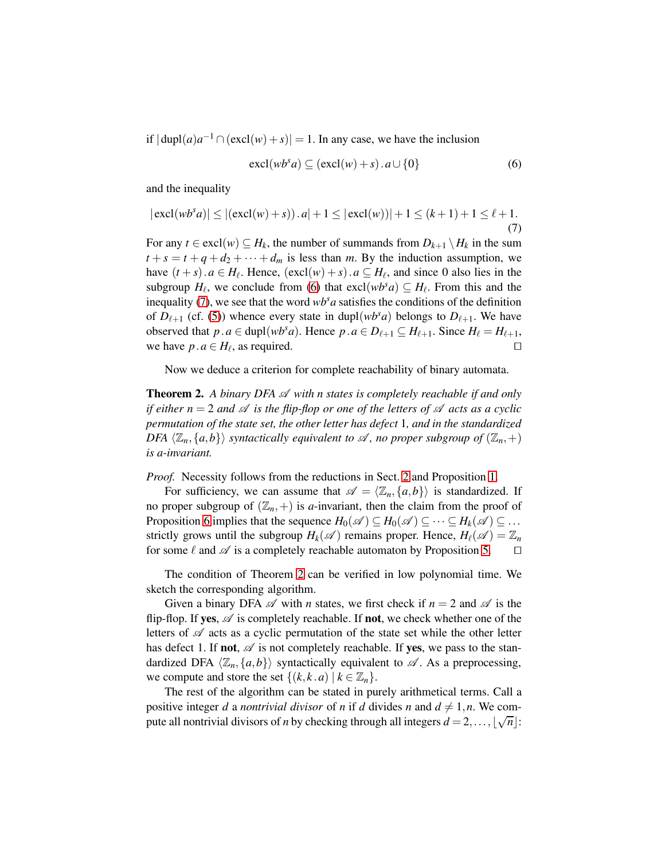if  $|\text{dupl}(a)a^{-1} \cap (\text{excl}(w) + s)| = 1$ . In any case, we have the inclusion

<span id="page-13-0"></span>
$$
\operatorname{excl}(wb^s a) \subseteq (\operatorname{excl}(w) + s) \cdot a \cup \{0\} \tag{6}
$$

and the inequality

<span id="page-13-1"></span>
$$
|\operatorname{excl}(wb^s a)| \le |(\operatorname{excl}(w) + s)) \cdot a| + 1 \le |\operatorname{excl}(w))| + 1 \le (k+1) + 1 \le \ell + 1.
$$
\n(7)

For any  $t \in \text{excl}(w) \subseteq H_k$ , the number of summands from  $D_{k+1} \setminus H_k$  in the sum  $t + s = t + q + d_2 + \cdots + d_m$  is less than *m*. By the induction assumption, we have  $(t + s) \cdot a \in H_{\ell}$ . Hence,  $(\text{excl}(w) + s) \cdot a \subseteq H_{\ell}$ , and since 0 also lies in the subgroup  $H_{\ell}$ , we conclude from [\(6\)](#page-13-0) that  $\text{excl}(wb^s a) \subseteq H_{\ell}$ . From this and the inequality [\(7\)](#page-13-1), we see that the word  $wb^s a$  satisfies the conditions of the definition of  $D_{\ell+1}$  (cf. [\(5\)](#page-10-0)) whence every state in dupl( $wb^s a$ ) belongs to  $D_{\ell+1}$ . We have observed that  $p \cdot a \in \text{dupl}(wb^s a)$ . Hence  $p \cdot a \in D_{\ell+1} \subseteq H_{\ell+1}$ . Since  $H_{\ell} = H_{\ell+1}$ , we have  $p \cdot a \in H_{\ell}$  as required we have  $p \cdot a \in H_{\ell}$ , as required. □

<span id="page-13-2"></span>Now we deduce a criterion for complete reachability of binary automata.

**Theorem 2.** A binary DFA  $\mathscr A$  with n states is completely reachable if and only *if either n* = 2 *and*  $\mathscr A$  *is the flip-flop or one of the letters of*  $\mathscr A$  *acts as a cyclic permutation of the state set, the other letter has defect* 1*, and in the standardized DFA*  $\langle \mathbb{Z}_n, \{a,b\} \rangle$  *syntactically equivalent to*  $\mathcal{A}$ *, no proper subgroup of*  $(\mathbb{Z}_n, +)$ *is a-invariant.*

*Proof.* Necessity follows from the reductions in Sect. [2](#page-1-2) and Proposition [1.](#page-3-1)

For sufficiency, we can assume that  $\mathscr{A} = \langle \mathbb{Z}_n, \{a,b\} \rangle$  is standardized. If no proper subgroup of  $(\mathbb{Z}_n, +)$  is *a*-invariant, then the claim from the proof of Proposition [6](#page-12-0) implies that the sequence  $H_0(\mathscr{A}) \subseteq H_0(\mathscr{A}) \subseteq \cdots \subseteq H_k(\mathscr{A}) \subseteq \cdots$ strictly grows until the subgroup  $H_k(\mathscr{A})$  remains proper. Hence,  $H_\ell(\mathscr{A}) = \mathbb{Z}_n$ for some  $\ell$  and  $\mathscr A$  is a completely reachable automaton by Proposition [5.](#page-10-1)  $\Box$ 

The condition of Theorem [2](#page-13-2) can be verified in low polynomial time. We sketch the corresponding algorithm.

Given a binary DFA  $\mathscr A$  with *n* states, we first check if  $n = 2$  and  $\mathscr A$  is the flip-flop. If yes,  $\mathscr A$  is completely reachable. If not, we check whether one of the letters of  $\mathscr A$  acts as a cyclic permutation of the state set while the other letter has defect 1. If **not**,  $\mathscr A$  is not completely reachable. If **yes**, we pass to the standardized DFA  $\langle \mathbb{Z}_n, \{a, b\} \rangle$  syntactically equivalent to  $\mathcal{A}$ . As a preprocessing, we compute and store the set  $\{(k, k, a) \mid k \in \mathbb{Z}_n\}.$ 

The rest of the algorithm can be stated in purely arithmetical terms. Call a positive integer *d* a *nontrivial divisor* of *n* if *d* divides *n* and  $d \neq 1, n$ . We compute all nontrivial divisors of *n* by checking through all integers  $d = 2, ..., \lfloor \sqrt{n} \rfloor$ :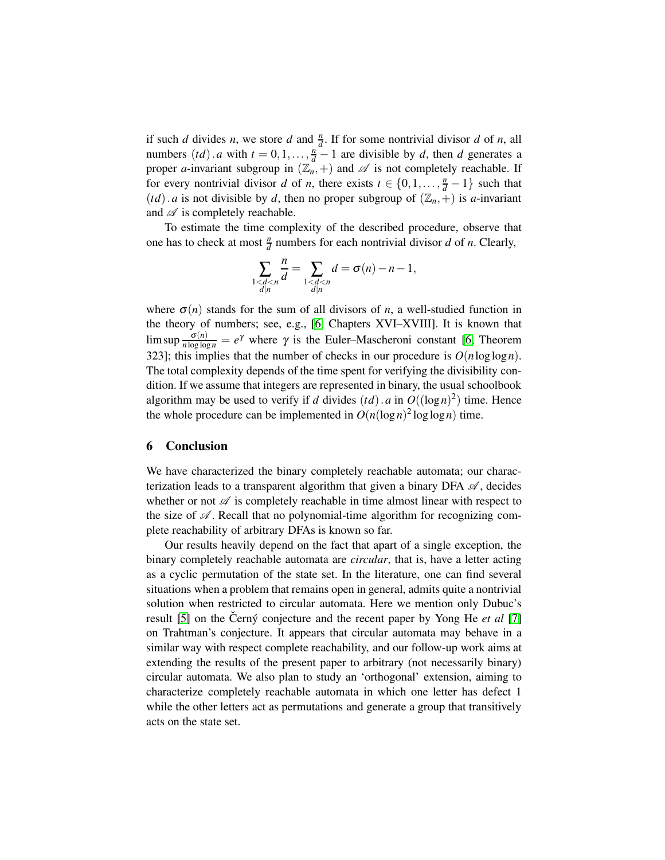if such *d* divides *n*, we store *d* and  $\frac{n}{d}$ . If for some nontrivial divisor *d* of *n*, all numbers  $(td)$ . *a* with  $t = 0, 1, \ldots, \frac{n}{d} - 1$  are divisible by *d*, then *d* generates a proper *a*-invariant subgroup in  $(\mathbb{Z}_n, +)$  and  $\mathscr A$  is not completely reachable. If for every nontrivial divisor *d* of *n*, there exists  $t \in \{0, 1, \ldots, \frac{n}{d} - 1\}$  such that (*td*). *a* is not divisible by *d*, then no proper subgroup of  $(\mathbb{Z}_n, +)$  is *a*-invariant and  $\mathscr A$  is completely reachable.

To estimate the time complexity of the described procedure, observe that one has to check at most  $\frac{n}{d}$  numbers for each nontrivial divisor *d* of *n*. Clearly,

$$
\sum_{\substack{1 < d < n \\ d|n}} \frac{n}{d} = \sum_{\substack{1 < d < n \\ d|n}} d = \sigma(n) - n - 1,
$$

where  $\sigma(n)$  stands for the sum of all divisors of *n*, a well-studied function in the theory of numbers; see, e.g., [\[6,](#page-15-6) Chapters XVI–XVIII]. It is known that lim sup  $\frac{\sigma(n)}{n \log \log n} = e^{\gamma}$  where  $\gamma$  is the Euler–Mascheroni constant [\[6,](#page-15-6) Theorem 323]; this implies that the number of checks in our procedure is  $O(n \log \log n)$ . The total complexity depends of the time spent for verifying the divisibility condition. If we assume that integers are represented in binary, the usual schoolbook algorithm may be used to verify if *d* divides  $(td)$ . *a* in  $O((\log n)^2)$  time. Hence the whole procedure can be implemented in  $O(n(\log n)^2 \log \log n)$  time.

#### 6 Conclusion

We have characterized the binary completely reachable automata; our characterization leads to a transparent algorithm that given a binary DFA  $\mathscr A$ , decides whether or not  $\mathscr A$  is completely reachable in time almost linear with respect to the size of  $\mathscr A$ . Recall that no polynomial-time algorithm for recognizing complete reachability of arbitrary DFAs is known so far.

Our results heavily depend on the fact that apart of a single exception, the binary completely reachable automata are *circular*, that is, have a letter acting as a cyclic permutation of the state set. In the literature, one can find several situations when a problem that remains open in general, admits quite a nontrivial solution when restricted to circular automata. Here we mention only Dubuc's result [\[5\]](#page-15-7) on the Cerný conjecture and the recent paper by Yong He *et al* [\[7\]](#page-15-8) on Trahtman's conjecture. It appears that circular automata may behave in a similar way with respect complete reachability, and our follow-up work aims at extending the results of the present paper to arbitrary (not necessarily binary) circular automata. We also plan to study an 'orthogonal' extension, aiming to characterize completely reachable automata in which one letter has defect 1 while the other letters act as permutations and generate a group that transitively acts on the state set.